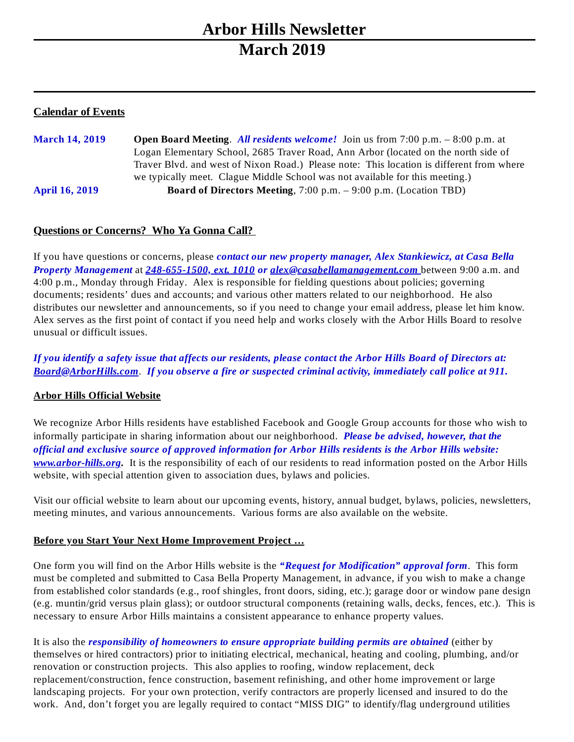# **Arbor Hills Newsletter March 2019**

# **Calendar of Events**

**March 14, 2019 Open Board Meeting**. *All residents welcome!* Join us from 7:00 p.m. – 8:00 p.m. at Logan Elementary School, 2685 Traver Road, Ann Arbor (located on the north side of Traver Blvd. and west of Nixon Road.) Please note: This location is different from where we typically meet. Clague Middle School was not available for this meeting.) **April 16, 2019 Board of Directors Meeting**, 7:00 p.m. – 9:00 p.m. (Location TBD)

# **Questions or Concerns? Who Ya Gonna Call?**

If you have questions or concerns, please *contact our new property manager, Alex Stankiewicz, at Casa Bella Property Management* at *248-655-1500, ext. 1010 or alex@casabellamanagement.com* between 9:00 a.m. and 4:00 p.m., Monday through Friday. Alex is responsible for fielding questions about policies; governing documents; residents' dues and accounts; and various other matters related to our neighborhood. He also distributes our newsletter and announcements, so if you need to change your email address, please let him know. Alex serves as the first point of contact if you need help and works closely with the Arbor Hills Board to resolve unusual or difficult issues.

If you identify a safety issue that affects our residents, please contact the Arbor Hills Board of Directors at: *Board@ArborHills.com*. *If you observe a fire or suspected criminal activity, immediately call police at 911.*

### **Arbor Hills Official Website**

We recognize Arbor Hills residents have established Facebook and Google Group accounts for those who wish to informally participate in sharing information about our neighborhood. *Please be advised, however, that the official and exclusive source of approved information for Arbor Hills residents is the Arbor Hills website: [www.arbor-hills.org](http://www.arbor-hills.org/).* It is the responsibility of each of our residents to read information posted on the Arbor Hills website, with special attention given to association dues, bylaws and policies.

Visit our official website to learn about our upcoming events, history, annual budget, bylaws, policies, newsletters, meeting minutes, and various announcements. Various forms are also available on the website.

### **Before you Start Your Next Home Improvement Project …**

One form you will find on the Arbor Hills website is the *"Request for Modification" approval form*. This form must be completed and submitted to Casa Bella Property Management, in advance, if you wish to make a change from established color standards (e.g., roof shingles, front doors, siding, etc.); garage door or window pane design (e.g. muntin/grid versus plain glass); or outdoor structural components (retaining walls, decks, fences, etc.). This is necessary to ensure Arbor Hills maintains a consistent appearance to enhance property values.

It is also the *responsibility of homeowners to ensure appropriate building permits are obtained* (either by themselves or hired contractors) prior to initiating electrical, mechanical, heating and cooling, plumbing, and/or renovation or construction projects. This also applies to roofing, window replacement, deck replacement/construction, fence construction, basement refinishing, and other home improvement or large landscaping projects. For your own protection, verify contractors are properly licensed and insured to do the work. And, don't forget you are legally required to contact "MISS DIG" to identify/flag underground utilities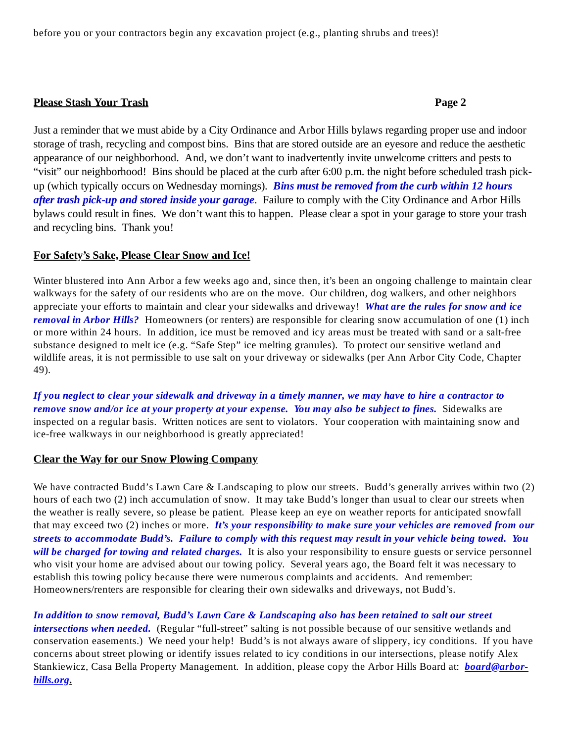#### **Please Stash Your Trash Page 2**

Just a reminder that we must abide by a City Ordinance and Arbor Hills bylaws regarding proper use and indoor storage of trash, recycling and compost bins. Bins that are stored outside are an eyesore and reduce the aesthetic appearance of our neighborhood. And, we don't want to inadvertently invite unwelcome critters and pests to "visit" our neighborhood! Bins should be placed at the curb after 6:00 p.m. the night before scheduled trash pickup (which typically occurs on Wednesday mornings). *Bins must be removed from the curb within 12 hours after trash pick-up and stored inside your garage*. Failure to comply with the City Ordinance and Arbor Hills bylaws could result in fines. We don't want this to happen. Please clear a spot in your garage to store your trash and recycling bins. Thank you!

#### **For Safety's Sake, Please Clear Snow and Ice!**

Winter blustered into Ann Arbor a few weeks ago and, since then, it's been an ongoing challenge to maintain clear walkways for the safety of our residents who are on the move. Our children, dog walkers, and other neighbors appreciate your efforts to maintain and clear your sidewalks and driveway! *What are the rules for snow and ice removal in Arbor Hills?* Homeowners (or renters) are responsible for clearing snow accumulation of one (1) inch or more within 24 hours. In addition, ice must be removed and icy areas must be treated with sand or a salt-free substance designed to melt ice (e.g. "Safe Step" ice melting granules). To protect our sensitive wetland and wildlife areas, it is not permissible to use salt on your driveway or sidewalks (per Ann Arbor City Code, Chapter 49).

If you neglect to clear your sidewalk and driveway in a timely manner, we may have to hire a contractor to *remove snow and/or ice at your property at your expense. You may also be subject to fines.* Sidewalks are inspected on a regular basis. Written notices are sent to violators. Your cooperation with maintaining snow and ice-free walkways in our neighborhood is greatly appreciated!

### **Clear the Way for our Snow Plowing Company**

We have contracted Budd's Lawn Care & Landscaping to plow our streets. Budd's generally arrives within two (2) hours of each two (2) inch accumulation of snow. It may take Budd's longer than usual to clear our streets when the weather is really severe, so please be patient. Please keep an eye on weather reports for anticipated snowfall that may exceed two (2) inches or more. *It's your responsibility to make sure your vehicles are removed from our* streets to accommodate Budd's. Failure to comply with this request may result in your vehicle being towed. You *will be charged for towing and related charges.* It is also your responsibility to ensure guests or service personnel who visit your home are advised about our towing policy. Several years ago, the Board felt it was necessary to establish this towing policy because there were numerous complaints and accidents. And remember: Homeowners/renters are responsible for clearing their own sidewalks and driveways, not Budd's.

#### In addition to snow removal, Budd's Lawn Care & Landscaping also has been retained to salt our street

*intersections when needed.* (Regular "full-street" salting is not possible because of our sensitive wetlands and conservation easements.) We need your help! Budd's is not always aware of slippery, icy conditions. If you have concerns about street plowing or identify issues related to icy conditions in our intersections, please notify Alex Stankiewicz, Casa Bella Property Management. In addition, please copy the Arbor Hills Board at: *board@arborhills.org.*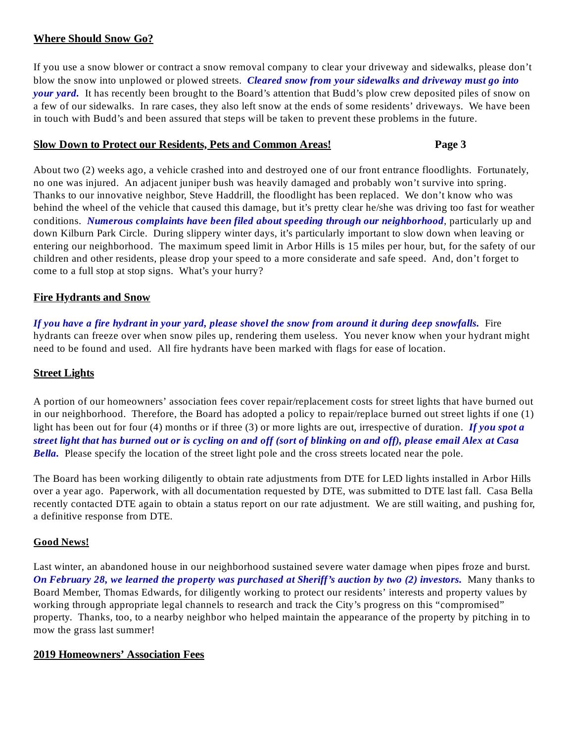## **Where Should Snow Go?**

If you use a snow blower or contract a snow removal company to clear your driveway and sidewalks, please don't blow the snow into unplowed or plowed streets. *Cleared snow from your sidewalks and driveway must go into your yard.* It has recently been brought to the Board's attention that Budd's plow crew deposited piles of snow on a few of our sidewalks. In rare cases, they also left snow at the ends of some residents' driveways. We have been in touch with Budd's and been assured that steps will be taken to prevent these problems in the future.

#### **Slow Down to Protect our Residents, Pets and Common Areas! Page 3**

About two (2) weeks ago, a vehicle crashed into and destroyed one of our front entrance floodlights. Fortunately, no one was injured. An adjacent juniper bush was heavily damaged and probably won't survive into spring. Thanks to our innovative neighbor, Steve Haddrill, the floodlight has been replaced. We don't know who was behind the wheel of the vehicle that caused this damage, but it's pretty clear he/she was driving too fast for weather conditions. *Numerous complaints have been filed about speeding through our neighborhood*, particularly up and down Kilburn Park Circle. During slippery winter days, it's particularly important to slow down when leaving or entering our neighborhood. The maximum speed limit in Arbor Hills is 15 miles per hour, but, for the safety of our children and other residents, please drop your speed to a more considerate and safe speed. And, don't forget to come to a full stop at stop signs. What's your hurry?

# **Fire Hydrants and Snow**

If you have a fire hydrant in your yard, please shovel the snow from around it during deep snowfalls. Fire hydrants can freeze over when snow piles up, rendering them useless. You never know when your hydrant might need to be found and used. All fire hydrants have been marked with flags for ease of location.

## **Street Lights**

A portion of our homeowners' association fees cover repair/replacement costs for street lights that have burned out in our neighborhood. Therefore, the Board has adopted a policy to repair/replace burned out street lights if one (1) light has been out for four (4) months or if three (3) or more lights are out, irrespective of duration. *If you spot a* street light that has burned out or is cycling on and off (sort of blinking on and off), please email Alex at Casa *Bella.* Please specify the location of the street light pole and the cross streets located near the pole.

The Board has been working diligently to obtain rate adjustments from DTE for LED lights installed in Arbor Hills over a year ago. Paperwork, with all documentation requested by DTE, was submitted to DTE last fall. Casa Bella recently contacted DTE again to obtain a status report on our rate adjustment. We are still waiting, and pushing for, a definitive response from DTE.

### **Good News!**

Last winter, an abandoned house in our neighborhood sustained severe water damage when pipes froze and burst. *On February 28, we learned the property was purchased at Sheriff's auction by two (2) investors.* Many thanks to Board Member, Thomas Edwards, for diligently working to protect our residents' interests and property values by working through appropriate legal channels to research and track the City's progress on this "compromised" property. Thanks, too, to a nearby neighbor who helped maintain the appearance of the property by pitching in to mow the grass last summer!

### **2019 Homeowners' Association Fees**